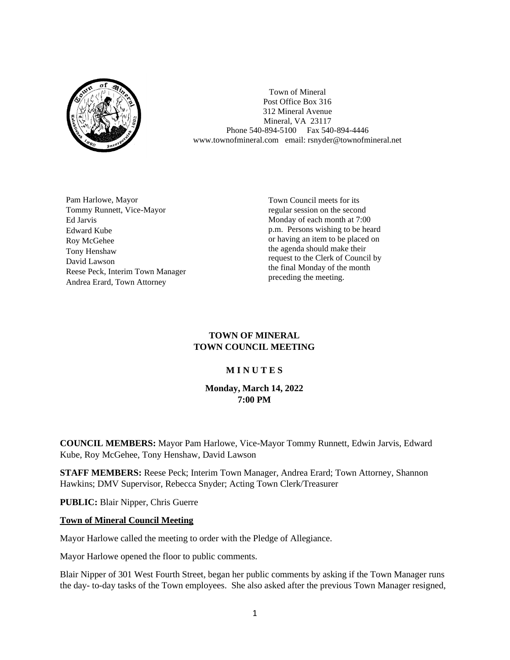

Town of Mineral Post Office Box 316 312 Mineral Avenue Mineral, VA 23117 Phone 540-894-5100 Fax 540-894-4446 www.townofmineral.com email: rsnyder@townofmineral.net

Pam Harlowe, Mayor Tommy Runnett, Vice-Mayor Ed Jarvis Edward Kube Roy McGehee Tony Henshaw David Lawson Reese Peck, Interim Town Manager Andrea Erard, Town Attorney

Town Council meets for its regular session on the second Monday of each month at 7:00 p.m. Persons wishing to be heard or having an item to be placed on the agenda should make their request to the Clerk of Council by the final Monday of the month preceding the meeting.

## **TOWN OF MINERAL TOWN COUNCIL MEETING**

## **M I N U T E S**

**Monday, March 14, 2022 7:00 PM**

**COUNCIL MEMBERS:** Mayor Pam Harlowe, Vice-Mayor Tommy Runnett, Edwin Jarvis, Edward Kube, Roy McGehee, Tony Henshaw, David Lawson

**STAFF MEMBERS:** Reese Peck; Interim Town Manager, Andrea Erard; Town Attorney, Shannon Hawkins; DMV Supervisor, Rebecca Snyder; Acting Town Clerk/Treasurer

**PUBLIC:** Blair Nipper, Chris Guerre

## **Town of Mineral Council Meeting**

Mayor Harlowe called the meeting to order with the Pledge of Allegiance.

Mayor Harlowe opened the floor to public comments.

Blair Nipper of 301 West Fourth Street, began her public comments by asking if the Town Manager runs the day- to-day tasks of the Town employees. She also asked after the previous Town Manager resigned,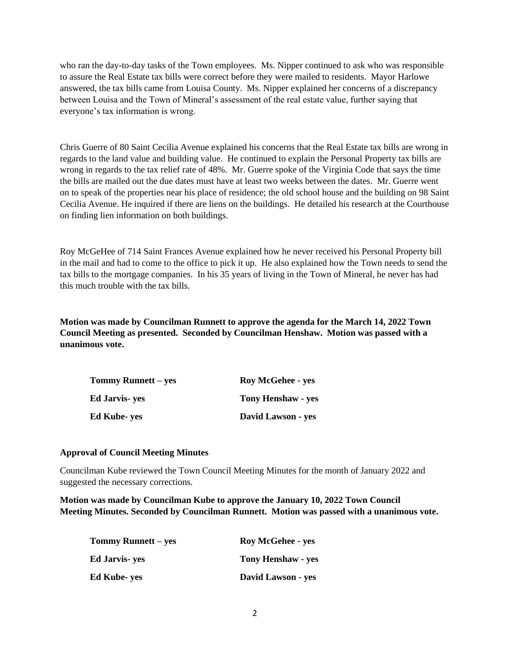who ran the day-to-day tasks of the Town employees. Ms. Nipper continued to ask who was responsible to assure the Real Estate tax bills were correct before they were mailed to residents. Mayor Harlowe answered, the tax bills came from Louisa County. Ms. Nipper explained her concerns of a discrepancy between Louisa and the Town of Mineral's assessment of the real estate value, further saying that everyone's tax information is wrong.

Chris Guerre of 80 Saint Cecilia Avenue explained his concerns that the Real Estate tax bills are wrong in regards to the land value and building value. He continued to explain the Personal Property tax bills are wrong in regards to the tax relief rate of 48%. Mr. Guerre spoke of the Virginia Code that says the time the bills are mailed out the due dates must have at least two weeks between the dates. Mr. Guerre went on to speak of the properties near his place of residence; the old school house and the building on 98 Saint Cecilia Avenue. He inquired if there are liens on the buildings. He detailed his research at the Courthouse on finding lien information on both buildings.

Roy McGeHee of 714 Saint Frances Avenue explained how he never received his Personal Property bill in the mail and had to come to the office to pick it up. He also explained how the Town needs to send the tax bills to the mortgage companies. In his 35 years of living in the Town of Mineral, he never has had this much trouble with the tax bills.

**Motion was made by Councilman Runnett to approve the agenda for the March 14, 2022 Town Council Meeting as presented. Seconded by Councilman Henshaw. Motion was passed with a unanimous vote.** 

| <b>Tommy Runnett</b> – yes | <b>Roy McGehee - yes</b>  |  |
|----------------------------|---------------------------|--|
| Ed Jarvis- yes             | <b>Tony Henshaw - yes</b> |  |
| Ed Kube- yes               | David Lawson - yes        |  |

#### **Approval of Council Meeting Minutes**

Councilman Kube reviewed the Town Council Meeting Minutes for the month of January 2022 and suggested the necessary corrections.

**Motion was made by Councilman Kube to approve the January 10, 2022 Town Council Meeting Minutes. Seconded by Councilman Runnett. Motion was passed with a unanimous vote.** 

| Tommy Runnett – yes | <b>Roy McGehee - yes</b> |
|---------------------|--------------------------|
| Ed Jarvis- yes      | Tony Henshaw - yes       |
| Ed Kube- yes        | David Lawson - yes       |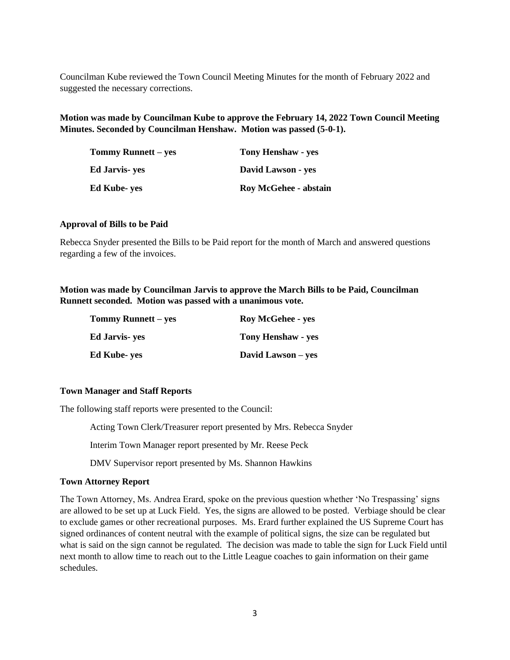Councilman Kube reviewed the Town Council Meeting Minutes for the month of February 2022 and suggested the necessary corrections.

**Motion was made by Councilman Kube to approve the February 14, 2022 Town Council Meeting Minutes. Seconded by Councilman Henshaw. Motion was passed (5-0-1).** 

| Tommy Runnett – yes | <b>Tony Henshaw - yes</b>    |
|---------------------|------------------------------|
| Ed Jarvis- yes      | David Lawson - yes           |
| Ed Kube- yes        | <b>Roy McGehee - abstain</b> |

#### **Approval of Bills to be Paid**

Rebecca Snyder presented the Bills to be Paid report for the month of March and answered questions regarding a few of the invoices.

**Motion was made by Councilman Jarvis to approve the March Bills to be Paid, Councilman Runnett seconded. Motion was passed with a unanimous vote.**

| <b>Tommy Runnett</b> – yes | <b>Roy McGehee - yes</b>  |  |
|----------------------------|---------------------------|--|
| <b>Ed Jarvis</b> - yes     | <b>Tony Henshaw - yes</b> |  |
| <b>Ed Kube- yes</b>        | David Lawson – yes        |  |

#### **Town Manager and Staff Reports**

The following staff reports were presented to the Council:

Acting Town Clerk/Treasurer report presented by Mrs. Rebecca Snyder

Interim Town Manager report presented by Mr. Reese Peck

DMV Supervisor report presented by Ms. Shannon Hawkins

#### **Town Attorney Report**

The Town Attorney, Ms. Andrea Erard, spoke on the previous question whether 'No Trespassing' signs are allowed to be set up at Luck Field. Yes, the signs are allowed to be posted. Verbiage should be clear to exclude games or other recreational purposes. Ms. Erard further explained the US Supreme Court has signed ordinances of content neutral with the example of political signs, the size can be regulated but what is said on the sign cannot be regulated. The decision was made to table the sign for Luck Field until next month to allow time to reach out to the Little League coaches to gain information on their game schedules.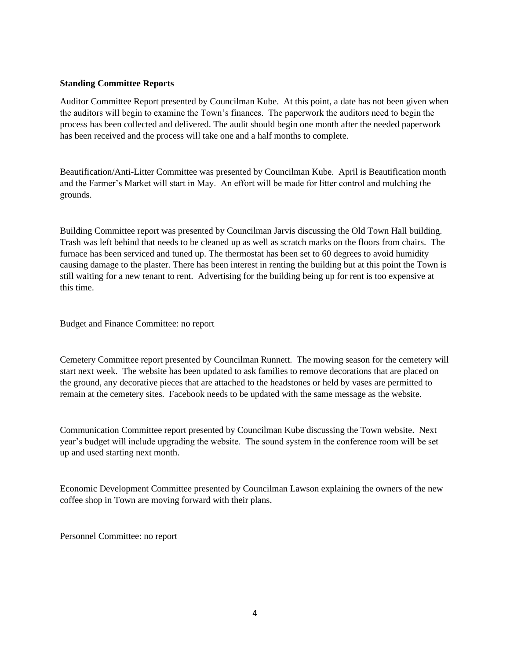### **Standing Committee Reports**

Auditor Committee Report presented by Councilman Kube. At this point, a date has not been given when the auditors will begin to examine the Town's finances. The paperwork the auditors need to begin the process has been collected and delivered. The audit should begin one month after the needed paperwork has been received and the process will take one and a half months to complete.

Beautification/Anti-Litter Committee was presented by Councilman Kube. April is Beautification month and the Farmer's Market will start in May. An effort will be made for litter control and mulching the grounds.

Building Committee report was presented by Councilman Jarvis discussing the Old Town Hall building. Trash was left behind that needs to be cleaned up as well as scratch marks on the floors from chairs. The furnace has been serviced and tuned up. The thermostat has been set to 60 degrees to avoid humidity causing damage to the plaster. There has been interest in renting the building but at this point the Town is still waiting for a new tenant to rent. Advertising for the building being up for rent is too expensive at this time.

Budget and Finance Committee: no report

Cemetery Committee report presented by Councilman Runnett. The mowing season for the cemetery will start next week. The website has been updated to ask families to remove decorations that are placed on the ground, any decorative pieces that are attached to the headstones or held by vases are permitted to remain at the cemetery sites. Facebook needs to be updated with the same message as the website.

Communication Committee report presented by Councilman Kube discussing the Town website. Next year's budget will include upgrading the website. The sound system in the conference room will be set up and used starting next month.

Economic Development Committee presented by Councilman Lawson explaining the owners of the new coffee shop in Town are moving forward with their plans.

Personnel Committee: no report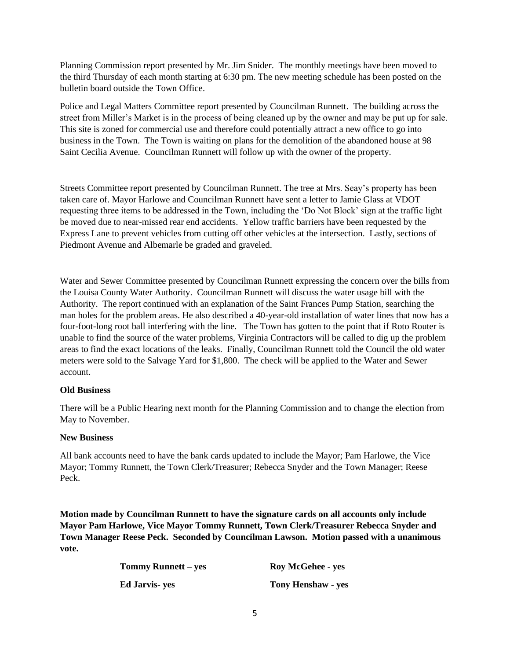Planning Commission report presented by Mr. Jim Snider. The monthly meetings have been moved to the third Thursday of each month starting at 6:30 pm. The new meeting schedule has been posted on the bulletin board outside the Town Office.

Police and Legal Matters Committee report presented by Councilman Runnett. The building across the street from Miller's Market is in the process of being cleaned up by the owner and may be put up for sale. This site is zoned for commercial use and therefore could potentially attract a new office to go into business in the Town. The Town is waiting on plans for the demolition of the abandoned house at 98 Saint Cecilia Avenue. Councilman Runnett will follow up with the owner of the property.

Streets Committee report presented by Councilman Runnett. The tree at Mrs. Seay's property has been taken care of. Mayor Harlowe and Councilman Runnett have sent a letter to Jamie Glass at VDOT requesting three items to be addressed in the Town, including the 'Do Not Block' sign at the traffic light be moved due to near-missed rear end accidents. Yellow traffic barriers have been requested by the Express Lane to prevent vehicles from cutting off other vehicles at the intersection. Lastly, sections of Piedmont Avenue and Albemarle be graded and graveled.

Water and Sewer Committee presented by Councilman Runnett expressing the concern over the bills from the Louisa County Water Authority. Councilman Runnett will discuss the water usage bill with the Authority. The report continued with an explanation of the Saint Frances Pump Station, searching the man holes for the problem areas. He also described a 40-year-old installation of water lines that now has a four-foot-long root ball interfering with the line. The Town has gotten to the point that if Roto Router is unable to find the source of the water problems, Virginia Contractors will be called to dig up the problem areas to find the exact locations of the leaks. Finally, Councilman Runnett told the Council the old water meters were sold to the Salvage Yard for \$1,800. The check will be applied to the Water and Sewer account.

## **Old Business**

There will be a Public Hearing next month for the Planning Commission and to change the election from May to November.

## **New Business**

All bank accounts need to have the bank cards updated to include the Mayor; Pam Harlowe, the Vice Mayor; Tommy Runnett, the Town Clerk/Treasurer; Rebecca Snyder and the Town Manager; Reese Peck.

**Motion made by Councilman Runnett to have the signature cards on all accounts only include Mayor Pam Harlowe, Vice Mayor Tommy Runnett, Town Clerk/Treasurer Rebecca Snyder and Town Manager Reese Peck. Seconded by Councilman Lawson. Motion passed with a unanimous vote.** 

| <b>Tommy Runnett – yes</b> | <b>Roy McGehee - yes</b>  |
|----------------------------|---------------------------|
| <b>Ed Jarvis- yes</b>      | <b>Tony Henshaw - yes</b> |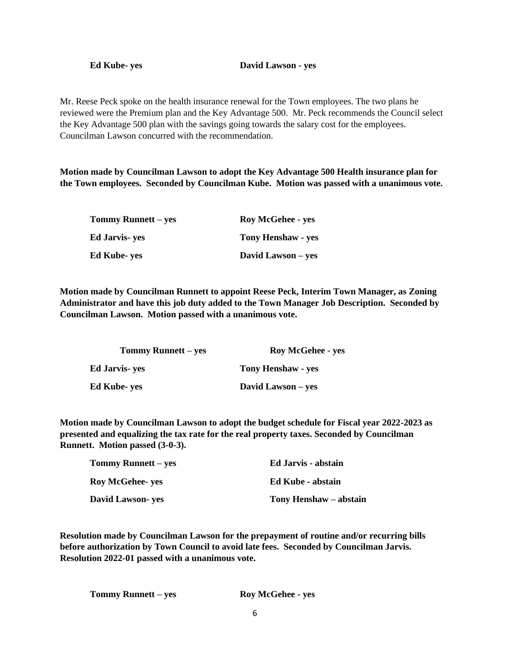Mr. Reese Peck spoke on the health insurance renewal for the Town employees. The two plans he reviewed were the Premium plan and the Key Advantage 500. Mr. Peck recommends the Council select the Key Advantage 500 plan with the savings going towards the salary cost for the employees. Councilman Lawson concurred with the recommendation.

**Motion made by Councilman Lawson to adopt the Key Advantage 500 Health insurance plan for the Town employees. Seconded by Councilman Kube. Motion was passed with a unanimous vote.** 

| Tommy Runnett – yes   | <b>Roy McGehee - yes</b>  |
|-----------------------|---------------------------|
| <b>Ed Jarvis- yes</b> | <b>Tony Henshaw - yes</b> |
| Ed Kube- yes          | David Lawson – yes        |

**Motion made by Councilman Runnett to appoint Reese Peck, Interim Town Manager, as Zoning Administrator and have this job duty added to the Town Manager Job Description. Seconded by Councilman Lawson. Motion passed with a unanimous vote.** 

| Tommy Runnett – yes | <b>Roy McGehee - yes</b>  |
|---------------------|---------------------------|
| Ed Jarvis- yes      | <b>Tony Henshaw - yes</b> |
| Ed Kube- yes        | David Lawson – yes        |

**Motion made by Councilman Lawson to adopt the budget schedule for Fiscal year 2022-2023 as presented and equalizing the tax rate for the real property taxes. Seconded by Councilman Runnett. Motion passed (3-0-3).**

| <b>Tommy Runnett</b> – yes | Ed Jarvis - abstain    |
|----------------------------|------------------------|
| <b>Roy McGehee- yes</b>    | Ed Kube - abstain      |
| <b>David Lawson- yes</b>   | Tony Henshaw – abstain |

**Resolution made by Councilman Lawson for the prepayment of routine and/or recurring bills before authorization by Town Council to avoid late fees. Seconded by Councilman Jarvis. Resolution 2022-01 passed with a unanimous vote.** 

**Tommy Runnett – yes Roy McGehee - yes**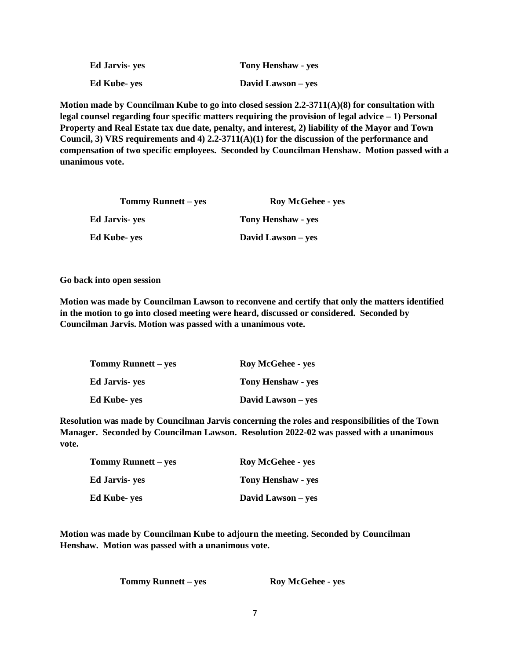| <b>Ed Jarvis</b> - yes | <b>Tony Henshaw - yes</b> |
|------------------------|---------------------------|
| <b>Ed Kube-yes</b>     | David Lawson – yes        |

**Motion made by Councilman Kube to go into closed session 2.2-3711(A)(8) for consultation with legal counsel regarding four specific matters requiring the provision of legal advice – 1) Personal Property and Real Estate tax due date, penalty, and interest, 2) liability of the Mayor and Town Council, 3) VRS requirements and 4) 2.2-3711(A)(1) for the discussion of the performance and compensation of two specific employees. Seconded by Councilman Henshaw. Motion passed with a unanimous vote.** 

| <b>Tommy Runnett</b> – yes | <b>Roy McGehee - yes</b>  |
|----------------------------|---------------------------|
| Ed Jarvis- yes             | <b>Tony Henshaw - yes</b> |
| Ed Kube- yes               | David Lawson – yes        |

**Go back into open session**

**Motion was made by Councilman Lawson to reconvene and certify that only the matters identified in the motion to go into closed meeting were heard, discussed or considered. Seconded by Councilman Jarvis. Motion was passed with a unanimous vote.** 

| <b>Tommy Runnett – yes</b> | <b>Roy McGehee - yes</b>  |
|----------------------------|---------------------------|
| Ed Jarvis- yes             | <b>Tony Henshaw - yes</b> |
| Ed Kube- yes               | David Lawson – yes        |

**Resolution was made by Councilman Jarvis concerning the roles and responsibilities of the Town Manager. Seconded by Councilman Lawson. Resolution 2022-02 was passed with a unanimous vote.**

| <b>Tommy Runnett – yes</b> | <b>Roy McGehee - yes</b>  |
|----------------------------|---------------------------|
| Ed Jarvis- yes             | <b>Tony Henshaw - yes</b> |
| Ed Kube- yes               | David Lawson – yes        |

**Motion was made by Councilman Kube to adjourn the meeting. Seconded by Councilman Henshaw. Motion was passed with a unanimous vote.** 

**Tommy Runnett – yes Roy McGehee - yes**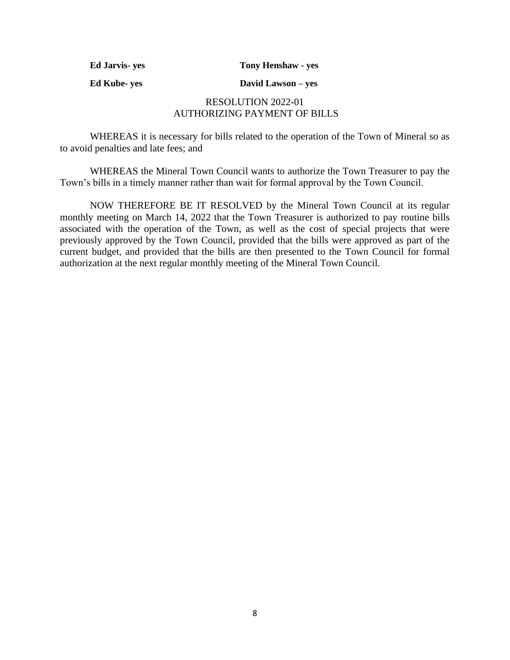**Ed Jarvis- yes Tony Henshaw - yes**

**Ed Kube- yes David Lawson – yes**

# RESOLUTION 2022-01 AUTHORIZING PAYMENT OF BILLS

WHEREAS it is necessary for bills related to the operation of the Town of Mineral so as to avoid penalties and late fees; and

WHEREAS the Mineral Town Council wants to authorize the Town Treasurer to pay the Town's bills in a timely manner rather than wait for formal approval by the Town Council.

NOW THEREFORE BE IT RESOLVED by the Mineral Town Council at its regular monthly meeting on March 14, 2022 that the Town Treasurer is authorized to pay routine bills associated with the operation of the Town, as well as the cost of special projects that were previously approved by the Town Council, provided that the bills were approved as part of the current budget, and provided that the bills are then presented to the Town Council for formal authorization at the next regular monthly meeting of the Mineral Town Council.